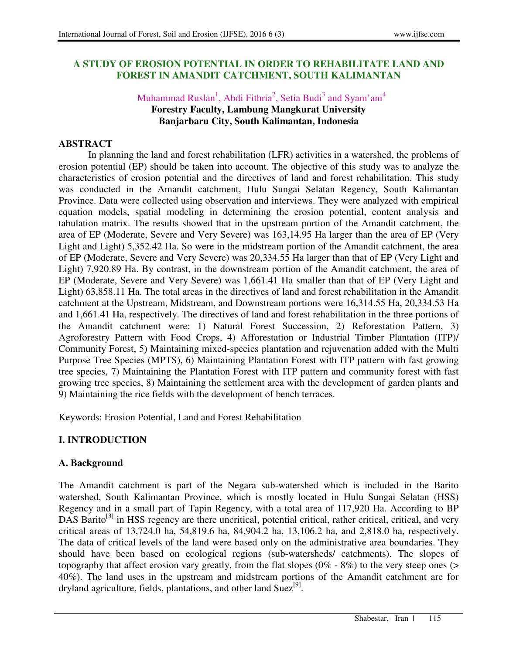## **A STUDY OF EROSION POTENTIAL IN ORDER TO REHABILITATE LAND AND FOREST IN AMANDIT CATCHMENT, SOUTH KALIMANTAN**

## Muhammad Ruslan<sup>1</sup>, Abdi Fithria<sup>2</sup>, Setia Budi<sup>3</sup> and Syam'ani<sup>4</sup> **Forestry Faculty, Lambung Mangkurat University Banjarbaru City, South Kalimantan, Indonesia**

## **ABSTRACT**

In planning the land and forest rehabilitation (LFR) activities in a watershed, the problems of erosion potential (EP) should be taken into account. The objective of this study was to analyze the characteristics of erosion potential and the directives of land and forest rehabilitation. This study was conducted in the Amandit catchment, Hulu Sungai Selatan Regency, South Kalimantan Province. Data were collected using observation and interviews. They were analyzed with empirical equation models, spatial modeling in determining the erosion potential, content analysis and tabulation matrix. The results showed that in the upstream portion of the Amandit catchment, the area of EP (Moderate, Severe and Very Severe) was 163,14.95 Ha larger than the area of EP (Very Light and Light) 5,352.42 Ha. So were in the midstream portion of the Amandit catchment, the area of EP (Moderate, Severe and Very Severe) was 20,334.55 Ha larger than that of EP (Very Light and Light) 7,920.89 Ha. By contrast, in the downstream portion of the Amandit catchment, the area of EP (Moderate, Severe and Very Severe) was 1,661.41 Ha smaller than that of EP (Very Light and Light) 63,858.11 Ha. The total areas in the directives of land and forest rehabilitation in the Amandit catchment at the Upstream, Midstream, and Downstream portions were 16,314.55 Ha, 20,334.53 Ha and 1,661.41 Ha, respectively. The directives of land and forest rehabilitation in the three portions of the Amandit catchment were: 1) Natural Forest Succession, 2) Reforestation Pattern, 3) Agroforestry Pattern with Food Crops, 4) Afforestation or Industrial Timber Plantation (ITP)/ Community Forest, 5) Maintaining mixed-species plantation and rejuvenation added with the Multi Purpose Tree Species (MPTS), 6) Maintaining Plantation Forest with ITP pattern with fast growing tree species, 7) Maintaining the Plantation Forest with ITP pattern and community forest with fast growing tree species, 8) Maintaining the settlement area with the development of garden plants and 9) Maintaining the rice fields with the development of bench terraces.

Keywords: Erosion Potential, Land and Forest Rehabilitation

# **I. INTRODUCTION**

# **A. Background**

The Amandit catchment is part of the Negara sub-watershed which is included in the Barito watershed, South Kalimantan Province, which is mostly located in Hulu Sungai Selatan (HSS) Regency and in a small part of Tapin Regency, with a total area of 117,920 Ha. According to BP  $DAS$  Barito<sup>[3]</sup> in HSS regency are there uncritical, potential critical, rather critical, critical, and very critical areas of 13,724.0 ha, 54,819.6 ha, 84,904.2 ha, 13,106.2 ha, and 2,818.0 ha, respectively. The data of critical levels of the land were based only on the administrative area boundaries. They should have been based on ecological regions (sub-watersheds/ catchments). The slopes of topography that affect erosion vary greatly, from the flat slopes  $(0\% - 8\%)$  to the very steep ones (> 40%). The land uses in the upstream and midstream portions of the Amandit catchment are for dryland agriculture, fields, plantations, and other land Suez<sup>[9]</sup>.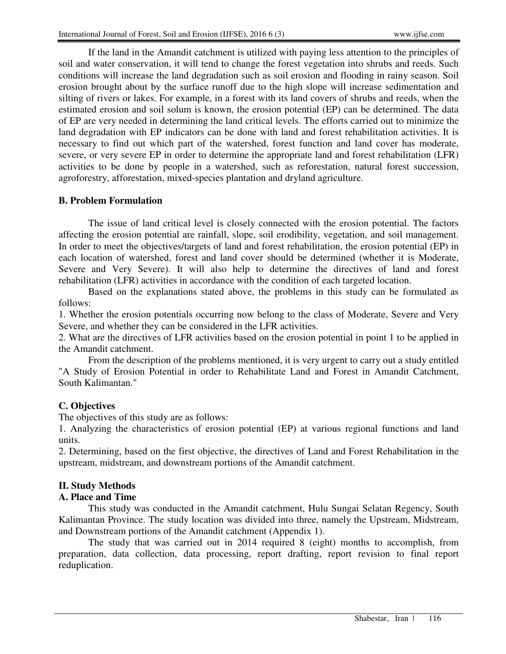If the land in the Amandit catchment is utilized with paying less attention to the principles of soil and water conservation, it will tend to change the forest vegetation into shrubs and reeds. Such conditions will increase the land degradation such as soil erosion and flooding in rainy season. Soil erosion brought about by the surface runoff due to the high slope will increase sedimentation and silting of rivers or lakes. For example, in a forest with its land covers of shrubs and reeds, when the estimated erosion and soil solum is known, the erosion potential (EP) can be determined. The data of EP are very needed in determining the land critical levels. The efforts carried out to minimize the land degradation with EP indicators can be done with land and forest rehabilitation activities. It is necessary to find out which part of the watershed, forest function and land cover has moderate, severe, or very severe EP in order to determine the appropriate land and forest rehabilitation (LFR) activities to be done by people in a watershed, such as reforestation, natural forest succession, agroforestry, afforestation, mixed-species plantation and dryland agriculture.

## **B. Problem Formulation**

The issue of land critical level is closely connected with the erosion potential. The factors affecting the erosion potential are rainfall, slope, soil erodibility, vegetation, and soil management. In order to meet the objectives/targets of land and forest rehabilitation, the erosion potential (EP) in each location of watershed, forest and land cover should be determined (whether it is Moderate, Severe and Very Severe). It will also help to determine the directives of land and forest rehabilitation (LFR) activities in accordance with the condition of each targeted location.

Based on the explanations stated above, the problems in this study can be formulated as follows:

1. Whether the erosion potentials occurring now belong to the class of Moderate, Severe and Very Severe, and whether they can be considered in the LFR activities.

2. What are the directives of LFR activities based on the erosion potential in point 1 to be applied in the Amandit catchment.

From the description of the problems mentioned, it is very urgent to carry out a study entitled "A Study of Erosion Potential in order to Rehabilitate Land and Forest in Amandit Catchment, South Kalimantan."

## **C. Objectives**

The objectives of this study are as follows:

1. Analyzing the characteristics of erosion potential (EP) at various regional functions and land units.

2. Determining, based on the first objective, the directives of Land and Forest Rehabilitation in the upstream, midstream, and downstream portions of the Amandit catchment.

## **II. Study Methods**

## **A. Place and Time**

This study was conducted in the Amandit catchment, Hulu Sungai Selatan Regency, South Kalimantan Province. The study location was divided into three, namely the Upstream, Midstream, and Downstream portions of the Amandit catchment (Appendix 1).

The study that was carried out in 2014 required 8 (eight) months to accomplish, from preparation, data collection, data processing, report drafting, report revision to final report reduplication.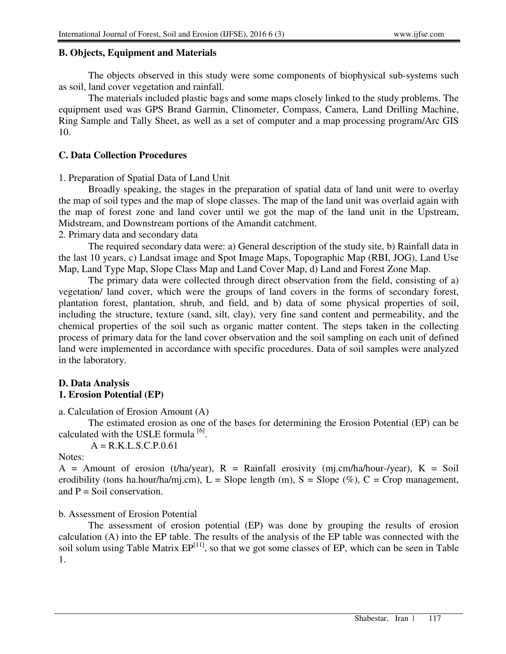## **B. Objects, Equipment and Materials**

The objects observed in this study were some components of biophysical sub-systems such as soil, land cover vegetation and rainfall.

The materials included plastic bags and some maps closely linked to the study problems. The equipment used was GPS Brand Garmin, Clinometer, Compass, Camera, Land Drilling Machine, Ring Sample and Tally Sheet, as well as a set of computer and a map processing program/Arc GIS 10.

## **C. Data Collection Procedures**

1. Preparation of Spatial Data of Land Unit

Broadly speaking, the stages in the preparation of spatial data of land unit were to overlay the map of soil types and the map of slope classes. The map of the land unit was overlaid again with the map of forest zone and land cover until we got the map of the land unit in the Upstream, Midstream, and Downstream portions of the Amandit catchment.

2. Primary data and secondary data

The required secondary data were: a) General description of the study site, b) Rainfall data in the last 10 years, c) Landsat image and Spot Image Maps, Topographic Map (RBI, JOG), Land Use Map, Land Type Map, Slope Class Map and Land Cover Map, d) Land and Forest Zone Map.

The primary data were collected through direct observation from the field, consisting of a) vegetation/ land cover, which were the groups of land covers in the forms of secondary forest, plantation forest, plantation, shrub, and field, and b) data of some physical properties of soil, including the structure, texture (sand, silt, clay), very fine sand content and permeability, and the chemical properties of the soil such as organic matter content. The steps taken in the collecting process of primary data for the land cover observation and the soil sampling on each unit of defined land were implemented in accordance with specific procedures. Data of soil samples were analyzed in the laboratory.

# **D. Data Analysis**

# **1. Erosion Potential (EP)**

a. Calculation of Erosion Amount (A)

The estimated erosion as one of the bases for determining the Erosion Potential (EP) can be calculated with the USLE formula  $^{[6]}$ .

 $A = R.K.L.S.C.P.0.61$ 

#### Notes:

A = Amount of erosion (t/ha/year),  $R =$  Rainfall erosivity (mj.cm/ha/hour-/year),  $K =$  Soil erodibility (tons ha.hour/ha/mj.cm),  $L =$  Slope length (m),  $S =$  Slope (%),  $C =$  Crop management, and  $P =$  Soil conservation.

## b. Assessment of Erosion Potential

The assessment of erosion potential (EP) was done by grouping the results of erosion calculation (A) into the EP table. The results of the analysis of the EP table was connected with the soil solum using Table Matrix  $EP^{[11]}$ , so that we got some classes of EP, which can be seen in Table 1.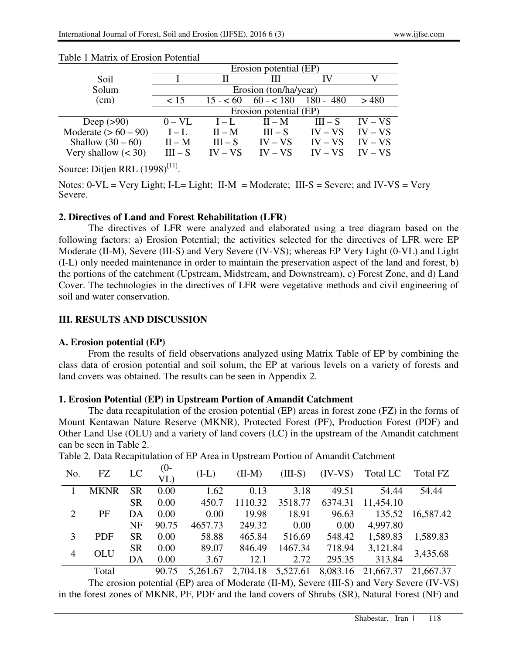|                        |                        | Erosion potential (EP) |            |             |           |  |  |  |  |  |
|------------------------|------------------------|------------------------|------------|-------------|-----------|--|--|--|--|--|
| Soil                   |                        |                        | Ш          |             |           |  |  |  |  |  |
| Solum                  |                        | Erosion (ton/ha/year)  |            |             |           |  |  |  |  |  |
| (cm)                   | < 15                   | $15 - 60$              | $60 - 180$ | $180 - 480$ | >480      |  |  |  |  |  |
|                        | Erosion potential (EP) |                        |            |             |           |  |  |  |  |  |
| Deep $(>90)$           | $0 - VL$               | $I - L$                | $II - M$   | $III - S$   | $IV - VS$ |  |  |  |  |  |
| Moderate $(> 60 - 90)$ | $I - L$                | $II - M$               | $III - S$  | $IV - VS$   | $IV - VS$ |  |  |  |  |  |
| Shallow $(30-60)$      | $II - M$               | $III - S$              | $IV - VS$  | $IV - VS$   | $IV - VS$ |  |  |  |  |  |
| Very shallow $(30)$    | $III - S$              | $IV - VS$              | $IV - VS$  | $IV - VS$   | $IV - VS$ |  |  |  |  |  |

#### Table 1 Matrix of Erosion Potential

Source: Ditjen RRL  $(1998)^{[11]}$ .

Notes:  $0-VL = V$ ery Light; I-L= Light; II-M = Moderate; III-S = Severe; and IV-VS = Very Severe.

#### **2. Directives of Land and Forest Rehabilitation (LFR)**

The directives of LFR were analyzed and elaborated using a tree diagram based on the following factors: a) Erosion Potential; the activities selected for the directives of LFR were EP Moderate (II-M), Severe (III-S) and Very Severe (IV-VS); whereas EP Very Light (0-VL) and Light (I-L) only needed maintenance in order to maintain the preservation aspect of the land and forest, b) the portions of the catchment (Upstream, Midstream, and Downstream), c) Forest Zone, and d) Land Cover. The technologies in the directives of LFR were vegetative methods and civil engineering of soil and water conservation.

#### **III. RESULTS AND DISCUSSION**

#### **A. Erosion potential (EP)**

From the results of field observations analyzed using Matrix Table of EP by combining the class data of erosion potential and soil solum, the EP at various levels on a variety of forests and land covers was obtained. The results can be seen in Appendix 2.

#### **1. Erosion Potential (EP) in Upstream Portion of Amandit Catchment**

The data recapitulation of the erosion potential (EP) areas in forest zone (FZ) in the forms of Mount Kentawan Nature Reserve (MKNR), Protected Forest (PF), Production Forest (PDF) and Other Land Use (OLU) and a variety of land covers (LC) in the upstream of the Amandit catchment can be seen in Table 2.

| No.            | FZ          | LC        | $(0 -$<br>VL | $(I-L)$  | $(II-M)$ | $(III-S)$ | $(IV-VS)$ | Total LC  | Total FZ  |
|----------------|-------------|-----------|--------------|----------|----------|-----------|-----------|-----------|-----------|
|                | <b>MKNR</b> | <b>SR</b> | 0.00         | 1.62     | 0.13     | 3.18      | 49.51     | 54.44     | 54.44     |
|                |             | <b>SR</b> | 0.00         | 450.7    | 1110.32  | 3518.77   | 6374.31   | 11,454.10 |           |
| $\overline{2}$ | PF          | DA        | 0.00         | 0.00     | 19.98    | 18.91     | 96.63     | 135.52    | 16,587.42 |
|                |             | NF        | 90.75        | 4657.73  | 249.32   | 0.00      | 0.00      | 4,997.80  |           |
| 3              | <b>PDF</b>  | <b>SR</b> | 0.00         | 58.88    | 465.84   | 516.69    | 548.42    | 1,589.83  | 1,589.83  |
| $\overline{4}$ | OLU         | <b>SR</b> | 0.00         | 89.07    | 846.49   | 1467.34   | 718.94    | 3,121.84  | 3,435.68  |
|                |             | DA        | 0.00         | 3.67     | 12.1     | 2.72      | 295.35    | 313.84    |           |
|                | Total       |           | 90.75        | 5,261.67 | 2,704.18 | 5,527.61  | 8,083.16  | 21,667.37 | 21,667.37 |

Table 2. Data Recapitulation of EP Area in Upstream Portion of Amandit Catchment

The erosion potential (EP) area of Moderate (II-M), Severe (III-S) and Very Severe (IV-VS) in the forest zones of MKNR, PF, PDF and the land covers of Shrubs (SR), Natural Forest (NF) and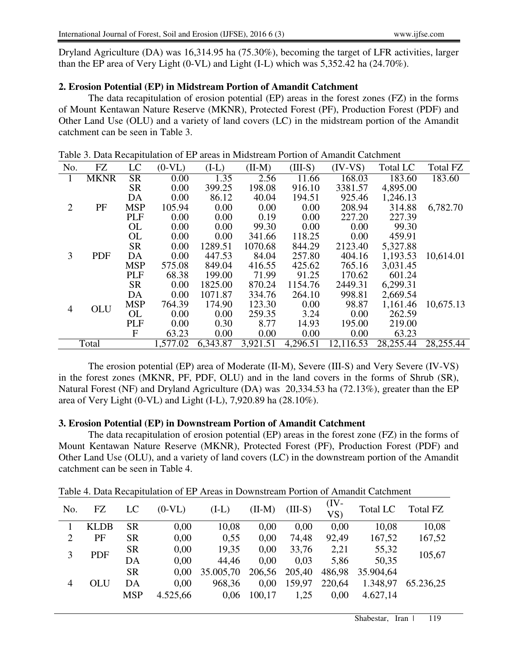Dryland Agriculture (DA) was 16,314.95 ha (75.30%), becoming the target of LFR activities, larger than the EP area of Very Light (0-VL) and Light (I-L) which was 5,352.42 ha (24.70%).

## **2. Erosion Potential (EP) in Midstream Portion of Amandit Catchment**

The data recapitulation of erosion potential (EP) areas in the forest zones (FZ) in the forms of Mount Kentawan Nature Reserve (MKNR), Protected Forest (PF), Production Forest (PDF) and Other Land Use (OLU) and a variety of land covers (LC) in the midstream portion of the Amandit catchment can be seen in Table 3.

| No.            | <b>FZ</b>   | LC         | $(0-VL)$ | $(I-L)$  | $(II-M)$ | $(III-S)$ | $(IV-VS)$ | <b>Total LC</b> | Total FZ  |
|----------------|-------------|------------|----------|----------|----------|-----------|-----------|-----------------|-----------|
|                | <b>MKNR</b> | <b>SR</b>  | 0.00     | 1.35     | 2.56     | 11.66     | 168.03    | 183.60          | 183.60    |
|                |             | <b>SR</b>  | 0.00     | 399.25   | 198.08   | 916.10    | 3381.57   | 4,895.00        |           |
|                |             | DA         | 0.00     | 86.12    | 40.04    | 194.51    | 925.46    | 1,246.13        |           |
| $\overline{2}$ | PF          | <b>MSP</b> | 105.94   | 0.00     | 0.00     | 0.00      | 208.94    | 314.88          | 6,782.70  |
|                |             | <b>PLF</b> | 0.00     | 0.00     | 0.19     | 0.00      | 227.20    | 227.39          |           |
|                |             | <b>OL</b>  | 0.00     | 0.00     | 99.30    | 0.00      | 0.00      | 99.30           |           |
|                |             | <b>OL</b>  | 0.00     | 0.00     | 341.66   | 118.25    | 0.00      | 459.91          |           |
|                |             | <b>SR</b>  | 0.00     | 1289.51  | 1070.68  | 844.29    | 2123.40   | 5,327.88        |           |
| 3              | <b>PDF</b>  | DA         | 0.00     | 447.53   | 84.04    | 257.80    | 404.16    | 1,193.53        | 10,614.01 |
|                |             | <b>MSP</b> | 575.08   | 849.04   | 416.55   | 425.62    | 765.16    | 3,031.45        |           |
|                |             | <b>PLF</b> | 68.38    | 199.00   | 71.99    | 91.25     | 170.62    | 601.24          |           |
|                |             | <b>SR</b>  | 0.00     | 1825.00  | 870.24   | 1154.76   | 2449.31   | 6,299.31        |           |
|                |             | DA         | 0.00     | 1071.87  | 334.76   | 264.10    | 998.81    | 2,669.54        |           |
| 4              | OLU         | <b>MSP</b> | 764.39   | 174.90   | 123.30   | 0.00      | 98.87     | 1,161.46        | 10,675.13 |
|                |             | <b>OL</b>  | 0.00     | 0.00     | 259.35   | 3.24      | 0.00      | 262.59          |           |
|                |             | <b>PLF</b> | 0.00     | 0.30     | 8.77     | 14.93     | 195.00    | 219.00          |           |
|                |             | F          | 63.23    | 0.00     | 0.00     | 0.00      | 0.00      | 63.23           |           |
|                | Total       |            | 1,577.02 | 6,343.87 | 3,921.51 | 4,296.51  | 12,116.53 | 28,255.44       | 28,255.44 |

Table 3. Data Recapitulation of EP areas in Midstream Portion of Amandit Catchment

The erosion potential (EP) area of Moderate (II-M), Severe (III-S) and Very Severe (IV-VS) in the forest zones (MKNR, PF, PDF, OLU) and in the land covers in the forms of Shrub (SR), Natural Forest (NF) and Dryland Agriculture (DA) was 20,334.53 ha (72.13%), greater than the EP area of Very Light (0-VL) and Light (I-L), 7,920.89 ha (28.10%).

#### **3. Erosion Potential (EP) in Downstream Portion of Amandit Catchment**

 The data recapitulation of erosion potential (EP) areas in the forest zone (FZ) in the forms of Mount Kentawan Nature Reserve (MKNR), Protected Forest (PF), Production Forest (PDF) and Other Land Use (OLU), and a variety of land covers (LC) in the downstream portion of the Amandit catchment can be seen in Table 4.

| No.            | FZ          | LC         | $(0-VL)$ | $(I-L)$   | $(II-M)$ | $(III-S)$ | $(IV -$<br>VS | <b>Total LC</b> | Total FZ  |
|----------------|-------------|------------|----------|-----------|----------|-----------|---------------|-----------------|-----------|
|                | <b>KLDB</b> | <b>SR</b>  | 0,00     | 10,08     | 0.00     | 0,00      | 0,00          | 10,08           | 10,08     |
| $\overline{2}$ | PF          | <b>SR</b>  | 0,00     | 0,55      | 0,00     | 74,48     | 92,49         | 167,52          | 167,52    |
| 3              | <b>PDF</b>  | <b>SR</b>  | 0,00     | 19,35     | 0.00     | 33,76     | 2,21          | 55,32           | 105,67    |
|                |             | DA         | 0,00     | 44,46     | 0.00     | 0,03      | 5,86          | 50,35           |           |
|                |             | <b>SR</b>  | 0.00     | 35.005,70 | 206,56   | 205,40    | 486,98        | 35.904,64       |           |
| 4              | OLU         | DA         | 0,00     | 968,36    | 0,00     | 159,97    | 220,64        | 1.348,97        | 65.236,25 |
|                |             | <b>MSP</b> | 4.525,66 | 0.06      | 100,17   | 1,25      | 0,00          | 4.627,14        |           |
|                |             |            |          |           |          |           |               |                 |           |

Table 4. Data Recapitulation of EP Areas in Downstream Portion of Amandit Catchment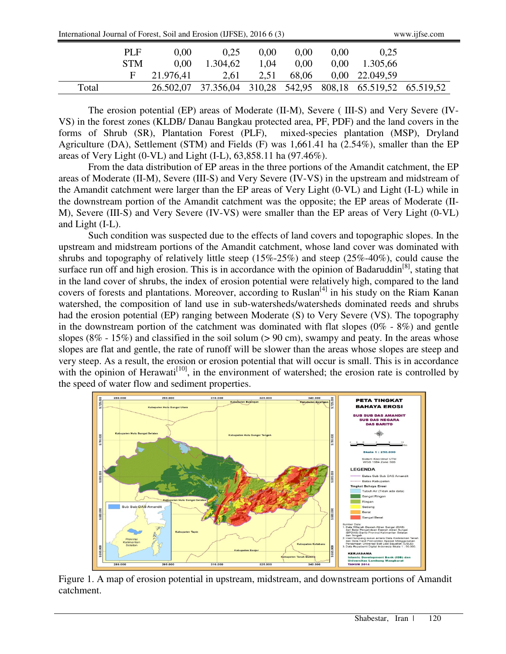| International Journal of Forest, Soil and Erosion (IJFSE), 2016 6 (3) | www.11tse.com |
|-----------------------------------------------------------------------|---------------|
|-----------------------------------------------------------------------|---------------|

| www.ijfse.com |
|---------------|
|---------------|

|       | <b>PLF</b> | 0.00      | 0.25     | 0.00 | 0.00  | 0.00     | 0.25                                                         |  |
|-------|------------|-----------|----------|------|-------|----------|--------------------------------------------------------------|--|
|       | <b>STM</b> | 0.00      | 1.304,62 | 1,04 | 0.00  | $0.00\,$ | 1.305,66                                                     |  |
|       |            | 21.976,41 | 2.61     | 2.51 | 68,06 |          | 0,00 22.049,59                                               |  |
| Total |            |           |          |      |       |          | 26.502,07 37.356,04 310,28 542,95 808,18 65.519,52 65.519,52 |  |

The erosion potential (EP) areas of Moderate (II-M), Severe ( III-S) and Very Severe (IV-VS) in the forest zones (KLDB/ Danau Bangkau protected area, PF, PDF) and the land covers in the forms of Shrub (SR), Plantation Forest (PLF), mixed-species plantation (MSP), Dryland Agriculture (DA), Settlement (STM) and Fields (F) was 1,661.41 ha (2.54%), smaller than the EP areas of Very Light (0-VL) and Light (I-L), 63,858.11 ha (97.46%).

From the data distribution of EP areas in the three portions of the Amandit catchment, the EP areas of Moderate (II-M), Severe (III-S) and Very Severe (IV-VS) in the upstream and midstream of the Amandit catchment were larger than the EP areas of Very Light (0-VL) and Light (I-L) while in the downstream portion of the Amandit catchment was the opposite; the EP areas of Moderate (II-M), Severe (III-S) and Very Severe (IV-VS) were smaller than the EP areas of Very Light (0-VL) and Light (I-L).

Such condition was suspected due to the effects of land covers and topographic slopes. In the upstream and midstream portions of the Amandit catchment, whose land cover was dominated with shrubs and topography of relatively little steep (15%-25%) and steep (25%-40%), could cause the surface run off and high erosion. This is in accordance with the opinion of Badaruddin<sup>[8]</sup>, stating that in the land cover of shrubs, the index of erosion potential were relatively high, compared to the land covers of forests and plantations. Moreover, according to Ruslan<sup>[4]</sup> in his study on the Riam Kanan watershed, the composition of land use in sub-watersheds/watersheds dominated reeds and shrubs had the erosion potential (EP) ranging between Moderate (S) to Very Severe (VS). The topography in the downstream portion of the catchment was dominated with flat slopes  $(0\% - 8\%)$  and gentle slopes ( $8\%$  -  $15\%$ ) and classified in the soil solum ( $> 90$  cm), swampy and peaty. In the areas whose slopes are flat and gentle, the rate of runoff will be slower than the areas whose slopes are steep and very steep. As a result, the erosion or erosion potential that will occur is small. This is in accordance with the opinion of Herawati<sup>[10]</sup>, in the environment of watershed; the erosion rate is controlled by the speed of water flow and sediment properties.



Figure 1. A map of erosion potential in upstream, midstream, and downstream portions of Amandit catchment.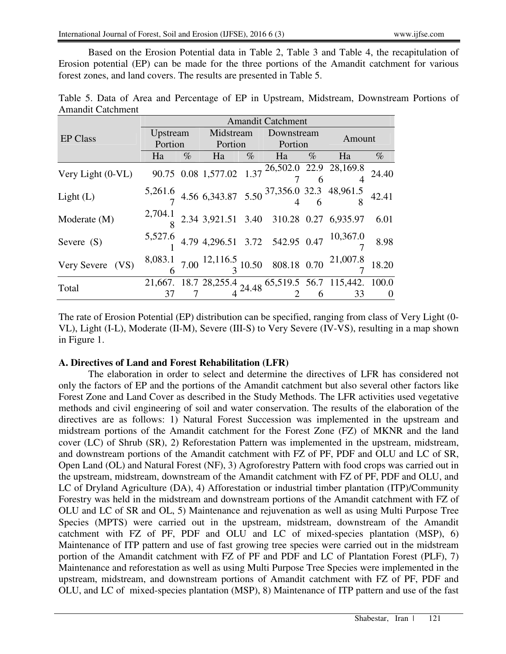Based on the Erosion Potential data in Table 2, Table 3 and Table 4, the recapitulation of Erosion potential (EP) can be made for the three portions of the Amandit catchment for various forest zones, and land covers. The results are presented in Table 5.

Table 5. Data of Area and Percentage of EP in Upstream, Midstream, Downstream Portions of Amandit Catchment

|                   | <b>Amandit Catchment</b> |      |            |                 |                               |                |                                                                                                                                                                                                                                                   |      |  |  |  |
|-------------------|--------------------------|------|------------|-----------------|-------------------------------|----------------|---------------------------------------------------------------------------------------------------------------------------------------------------------------------------------------------------------------------------------------------------|------|--|--|--|
| <b>EP Class</b>   |                          |      |            |                 | Upstream Midstream Downstream |                |                                                                                                                                                                                                                                                   |      |  |  |  |
|                   |                          |      |            | Portion Portion |                               | <b>Portion</b> | Amount                                                                                                                                                                                                                                            |      |  |  |  |
|                   | Ha                       | $\%$ | Ha $\%$ Ha |                 |                               |                | $%$ Ha                                                                                                                                                                                                                                            | $\%$ |  |  |  |
| Very Light (0-VL) |                          |      |            |                 |                               |                | 90.75 0.08 1,577.02 1.37 $\frac{26,502.0}{7}$ $\frac{22.9}{6}$ $\frac{28,169.8}{4}$ 24.40                                                                                                                                                         |      |  |  |  |
|                   |                          |      |            |                 |                               |                |                                                                                                                                                                                                                                                   |      |  |  |  |
| Light (L)         |                          |      |            |                 |                               |                | $\frac{5,261.6}{7}$ 4.56 6,343.87 5.50 $\frac{37,356.0}{4}$ 32.3 48,961.5 42.41                                                                                                                                                                   |      |  |  |  |
|                   |                          |      |            |                 |                               |                |                                                                                                                                                                                                                                                   |      |  |  |  |
| Moderate (M)      |                          |      |            |                 |                               |                | $2,704.1$ $8$ 2.34 3,921.51 3.40 310.28 0.27 6,935.97                                                                                                                                                                                             | 6.01 |  |  |  |
|                   |                          |      |            |                 |                               |                |                                                                                                                                                                                                                                                   |      |  |  |  |
| Severe $(S)$      |                          |      |            |                 |                               |                | 5,527.6 4.79 4,296.51 3.72 542.95 0.47 $\frac{10,367.0}{7}$ 8.98                                                                                                                                                                                  |      |  |  |  |
|                   |                          |      |            |                 |                               |                |                                                                                                                                                                                                                                                   |      |  |  |  |
| Very Severe (VS)  |                          |      |            |                 |                               |                | $\begin{matrix} 8{,}083.1 & 7{,}00 \\ 6 & 7.00 \end{matrix} \begin{matrix} 12{,}116.5 & 10.50 & 808.18 & 0.70 \\ 3 & 10.50 & 808.18 & 0.70 \end{matrix} \begin{matrix} 21{,}007.8 & 18{,}20 \\ 7 & 18.20 & 1.00 \\ 10 & 1.00 & 1.00 \end{matrix}$ |      |  |  |  |
|                   |                          |      |            |                 |                               |                |                                                                                                                                                                                                                                                   |      |  |  |  |
| Total             |                          |      |            |                 |                               |                | $\frac{21,667}{37}$ 18.7 28, 255.4 24.48 65, 519.5 56.7 115, 442. 100.0                                                                                                                                                                           |      |  |  |  |
|                   |                          |      |            |                 |                               |                |                                                                                                                                                                                                                                                   |      |  |  |  |

The rate of Erosion Potential (EP) distribution can be specified, ranging from class of Very Light (0- VL), Light (I-L), Moderate (II-M), Severe (III-S) to Very Severe (IV-VS), resulting in a map shown in Figure 1.

## **A. Directives of Land and Forest Rehabilitation (LFR)**

The elaboration in order to select and determine the directives of LFR has considered not only the factors of EP and the portions of the Amandit catchment but also several other factors like Forest Zone and Land Cover as described in the Study Methods. The LFR activities used vegetative methods and civil engineering of soil and water conservation. The results of the elaboration of the directives are as follows: 1) Natural Forest Succession was implemented in the upstream and midstream portions of the Amandit catchment for the Forest Zone (FZ) of MKNR and the land cover (LC) of Shrub (SR), 2) Reforestation Pattern was implemented in the upstream, midstream, and downstream portions of the Amandit catchment with FZ of PF, PDF and OLU and LC of SR, Open Land (OL) and Natural Forest (NF), 3) Agroforestry Pattern with food crops was carried out in the upstream, midstream, downstream of the Amandit catchment with FZ of PF, PDF and OLU, and LC of Dryland Agriculture (DA), 4) Afforestation or industrial timber plantation (ITP)/Community Forestry was held in the midstream and downstream portions of the Amandit catchment with FZ of OLU and LC of SR and OL, 5) Maintenance and rejuvenation as well as using Multi Purpose Tree Species (MPTS) were carried out in the upstream, midstream, downstream of the Amandit catchment with FZ of PF, PDF and OLU and LC of mixed-species plantation (MSP), 6) Maintenance of ITP pattern and use of fast growing tree species were carried out in the midstream portion of the Amandit catchment with FZ of PF and PDF and LC of Plantation Forest (PLF), 7) Maintenance and reforestation as well as using Multi Purpose Tree Species were implemented in the upstream, midstream, and downstream portions of Amandit catchment with FZ of PF, PDF and OLU, and LC of mixed-species plantation (MSP), 8) Maintenance of ITP pattern and use of the fast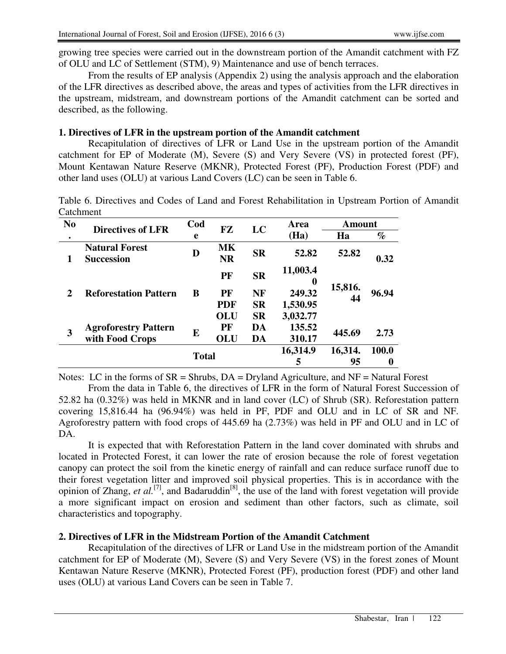growing tree species were carried out in the downstream portion of the Amandit catchment with FZ of OLU and LC of Settlement (STM), 9) Maintenance and use of bench terraces.

From the results of EP analysis (Appendix 2) using the analysis approach and the elaboration of the LFR directives as described above, the areas and types of activities from the LFR directives in the upstream, midstream, and downstream portions of the Amandit catchment can be sorted and described, as the following.

#### **1. Directives of LFR in the upstream portion of the Amandit catchment**

Recapitulation of directives of LFR or Land Use in the upstream portion of the Amandit catchment for EP of Moderate (M), Severe (S) and Very Severe (VS) in protected forest (PF), Mount Kentawan Nature Reserve (MKNR), Protected Forest (PF), Production Forest (PDF) and other land uses (OLU) at various Land Covers (LC) can be seen in Table 6.

Table 6. Directives and Codes of Land and Forest Rehabilitation in Upstream Portion of Amandit Catchment

| N <sub>o</sub> | <b>Directives of LFR</b>                   | Cod          | <b>FZ</b>              | LC        | Area                 | <b>Amount</b> |       |
|----------------|--------------------------------------------|--------------|------------------------|-----------|----------------------|---------------|-------|
| $\bullet$      |                                            | e            |                        |           | (Ha)                 | Ha            | $\%$  |
| 1              | <b>Natural Forest</b><br><b>Succession</b> | D            | <b>MK</b><br><b>NR</b> | <b>SR</b> | 52.82                | 52.82         | 0.32  |
|                |                                            |              | PF                     | <b>SR</b> | 11,003.4<br>$\bf{0}$ |               |       |
| $\mathbf{2}$   | <b>Reforestation Pattern</b>               | B            | PF                     | NF        | 249.32               | 15,816.       | 96.94 |
|                |                                            |              | <b>PDF</b>             | <b>SR</b> | 1,530.95             | 44            |       |
|                |                                            |              | OLU                    | <b>SR</b> | 3,032.77             |               |       |
| 3              | <b>Agroforestry Pattern</b>                | E            | PF                     | DA        | 135.52               | 445.69        | 2.73  |
|                | with Food Crops                            |              | OLU                    | DA        | 310.17               |               |       |
|                |                                            | <b>Total</b> |                        |           | 16,314.9             | 16,314.       | 100.0 |
|                |                                            |              |                        |           | 5                    | 95            | 0     |

Notes: LC in the forms of  $SR = Shrubs$ ,  $DA = Dryland$  Agriculture, and  $NF = Natural Forest$ 

From the data in Table 6, the directives of LFR in the form of Natural Forest Succession of 52.82 ha (0.32%) was held in MKNR and in land cover (LC) of Shrub (SR). Reforestation pattern covering 15,816.44 ha (96.94%) was held in PF, PDF and OLU and in LC of SR and NF. Agroforestry pattern with food crops of 445.69 ha (2.73%) was held in PF and OLU and in LC of DA.

It is expected that with Reforestation Pattern in the land cover dominated with shrubs and located in Protected Forest, it can lower the rate of erosion because the role of forest vegetation canopy can protect the soil from the kinetic energy of rainfall and can reduce surface runoff due to their forest vegetation litter and improved soil physical properties. This is in accordance with the opinion of Zhang, *et al.*<sup>[7]</sup>, and Badaruddin<sup>[8]</sup>, the use of the land with forest vegetation will provide a more significant impact on erosion and sediment than other factors, such as climate, soil characteristics and topography.

## **2. Directives of LFR in the Midstream Portion of the Amandit Catchment**

Recapitulation of the directives of LFR or Land Use in the midstream portion of the Amandit catchment for EP of Moderate (M), Severe (S) and Very Severe (VS) in the forest zones of Mount Kentawan Nature Reserve (MKNR), Protected Forest (PF), production forest (PDF) and other land uses (OLU) at various Land Covers can be seen in Table 7.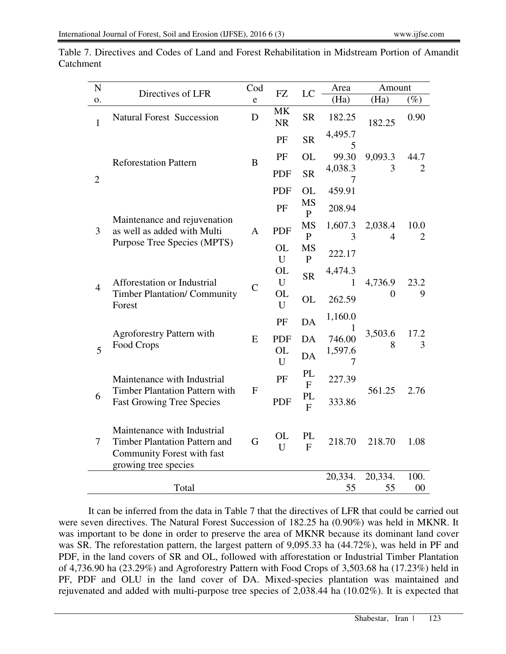| ${\bf N}$      | Directives of LFR                                                                                                         | Cod           | FZ                     | LC                        | Area                    | Amount                    |                        |
|----------------|---------------------------------------------------------------------------------------------------------------------------|---------------|------------------------|---------------------------|-------------------------|---------------------------|------------------------|
| 0.             |                                                                                                                           | e             |                        |                           | (Ha)                    | (Ha)                      | $(\%)$                 |
| $\mathbf{1}$   | <b>Natural Forest Succession</b>                                                                                          | D             | <b>MK</b><br><b>NR</b> | <b>SR</b>                 | 182.25                  | 182.25                    | 0.90                   |
|                |                                                                                                                           |               | PF                     | <b>SR</b>                 | 4,495.7<br>5            |                           |                        |
|                | <b>Reforestation Pattern</b>                                                                                              | $\bf{B}$      | PF                     | <b>OL</b>                 | 99.30                   | 9,093.3                   | 44.7                   |
| $\overline{2}$ |                                                                                                                           |               | PDF                    | <b>SR</b>                 | 4,038.3<br>7            | 3                         | $\overline{2}$         |
|                |                                                                                                                           |               | <b>PDF</b>             | <b>OL</b>                 | 459.91                  |                           |                        |
|                |                                                                                                                           |               | PF                     | <b>MS</b><br>$\mathbf{P}$ | 208.94                  |                           |                        |
| 3              | Maintenance and rejuvenation<br>as well as added with Multi                                                               | A             | PDF                    | <b>MS</b><br>${\bf P}$    | 1,607.3<br>3            | 2,038.4<br>$\overline{4}$ | 10.0<br>$\overline{2}$ |
|                | Purpose Tree Species (MPTS)                                                                                               |               | <b>OL</b><br>U         | <b>MS</b><br>${\bf P}$    | 222.17                  |                           |                        |
|                | Afforestation or Industrial                                                                                               |               | <b>OL</b><br>U         | <b>SR</b>                 | 4,474.3<br>$\mathbf{1}$ | 4,736.9                   | 23.2                   |
| $\overline{4}$ | <b>Timber Plantation/ Community</b><br>Forest                                                                             | $\mathcal{C}$ | OL<br>U                | <b>OL</b>                 | 262.59                  | 0                         | 9                      |
|                |                                                                                                                           |               | PF                     | DA                        | 1,160.0<br>1            |                           |                        |
|                | <b>Agroforestry Pattern with</b>                                                                                          | ${\bf E}$     | <b>PDF</b>             | DA                        | 746.00                  | 3,503.6<br>8              | 17.2<br>3              |
| 5              | Food Crops                                                                                                                |               | <b>OL</b><br>U         | DA                        | 1,597.6<br>7            |                           |                        |
|                | Maintenance with Industrial                                                                                               |               | PF                     | PL<br>$\mathbf{F}$        | 227.39                  |                           |                        |
| 6              | <b>Timber Plantation Pattern with</b><br><b>Fast Growing Tree Species</b>                                                 | ${\bf F}$     | <b>PDF</b>             | PL<br>$\mathbf{F}$        | 333.86                  | 561.25                    | 2.76                   |
| $\tau$         | Maintenance with Industrial<br><b>Timber Plantation Pattern and</b><br>Community Forest with fast<br>growing tree species | G             | <b>OL</b><br>U         | PL<br>$\mathbf{F}$        | 218.70                  | 218.70                    | 1.08                   |
|                |                                                                                                                           |               |                        |                           | 20,334.                 | 20,334.                   | 100.                   |
|                | Total                                                                                                                     |               |                        |                           | 55                      | 55                        | 00                     |

Table 7. Directives and Codes of Land and Forest Rehabilitation in Midstream Portion of Amandit Catchment

It can be inferred from the data in Table 7 that the directives of LFR that could be carried out were seven directives. The Natural Forest Succession of 182.25 ha (0.90%) was held in MKNR. It was important to be done in order to preserve the area of MKNR because its dominant land cover was SR. The reforestation pattern, the largest pattern of 9,095.33 ha (44.72%), was held in PF and PDF, in the land covers of SR and OL, followed with afforestation or Industrial Timber Plantation of 4,736.90 ha (23.29%) and Agroforestry Pattern with Food Crops of 3,503.68 ha (17.23%) held in PF, PDF and OLU in the land cover of DA. Mixed-species plantation was maintained and rejuvenated and added with multi-purpose tree species of 2,038.44 ha (10.02%). It is expected that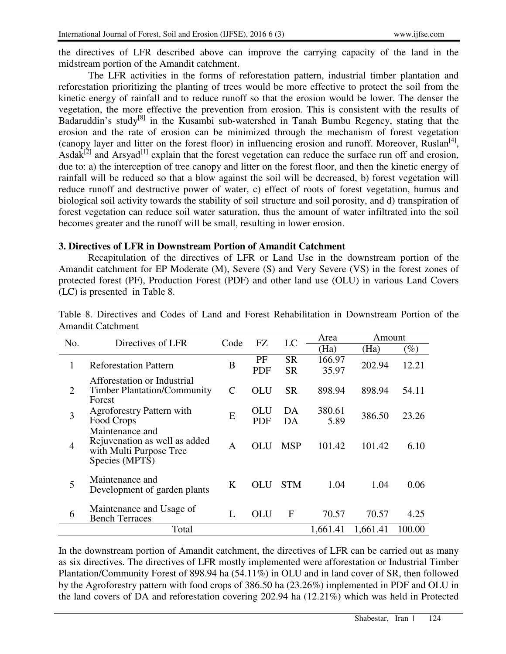the directives of LFR described above can improve the carrying capacity of the land in the midstream portion of the Amandit catchment.

The LFR activities in the forms of reforestation pattern, industrial timber plantation and reforestation prioritizing the planting of trees would be more effective to protect the soil from the kinetic energy of rainfall and to reduce runoff so that the erosion would be lower. The denser the vegetation, the more effective the prevention from erosion. This is consistent with the results of Badaruddin's study<sup>[8]</sup> in the Kusambi sub-watershed in Tanah Bumbu Regency, stating that the erosion and the rate of erosion can be minimized through the mechanism of forest vegetation (canopy layer and litter on the forest floor) in influencing erosion and runoff. Moreover, Ruslan<sup>[4]</sup>, Asdak<sup>[2]</sup> and Arsyad<sup>[1]</sup> explain that the forest vegetation can reduce the surface run off and erosion, due to: a) the interception of tree canopy and litter on the forest floor, and then the kinetic energy of rainfall will be reduced so that a blow against the soil will be decreased, b) forest vegetation will reduce runoff and destructive power of water, c) effect of roots of forest vegetation, humus and biological soil activity towards the stability of soil structure and soil porosity, and d) transpiration of forest vegetation can reduce soil water saturation, thus the amount of water infiltrated into the soil becomes greater and the runoff will be small, resulting in lower erosion.

#### **3. Directives of LFR in Downstream Portion of Amandit Catchment**

Recapitulation of the directives of LFR or Land Use in the downstream portion of the Amandit catchment for EP Moderate (M), Severe (S) and Very Severe (VS) in the forest zones of protected forest (PF), Production Forest (PDF) and other land use (OLU) in various Land Covers (LC) is presented in Table 8.

| No.            | Directives of LFR                                                                             | Code          | FZ         | LC         | Area     | Amount   |        |
|----------------|-----------------------------------------------------------------------------------------------|---------------|------------|------------|----------|----------|--------|
|                |                                                                                               |               |            |            | (Ha)     | (Ha)     | $(\%)$ |
| 1              | <b>Reforestation Pattern</b>                                                                  | B             | PF         | <b>SR</b>  | 166.97   | 202.94   | 12.21  |
|                |                                                                                               |               | <b>PDF</b> | <b>SR</b>  | 35.97    |          |        |
| $\overline{2}$ | Afforestation or Industrial<br><b>Timber Plantation/Community</b>                             | $\mathcal{C}$ | OLU        | <b>SR</b>  | 898.94   | 898.94   | 54.11  |
|                | Forest                                                                                        |               |            |            |          |          |        |
| 3              | <b>Agroforestry Pattern with</b>                                                              | E             | <b>OLU</b> | DA         | 380.61   | 386.50   | 23.26  |
|                | Food Crops                                                                                    |               | <b>PDF</b> | DА         | 5.89     |          |        |
| 4              | Maintenance and<br>Rejuvenation as well as added<br>with Multi Purpose Tree<br>Species (MPTS) | A             | <b>OLU</b> | <b>MSP</b> | 101.42   | 101.42   | 6.10   |
| 5              | Maintenance and<br>Development of garden plants                                               | K             | OLU        | <b>STM</b> | 1.04     | 1.04     | 0.06   |
| 6              | Maintenance and Usage of<br><b>Bench Terraces</b>                                             | L             | <b>OLU</b> | F          | 70.57    | 70.57    | 4.25   |
|                | Total                                                                                         |               |            |            | 1,661.41 | 1,661.41 | 100.00 |

Table 8. Directives and Codes of Land and Forest Rehabilitation in Downstream Portion of the Amandit Catchment

In the downstream portion of Amandit catchment, the directives of LFR can be carried out as many as six directives. The directives of LFR mostly implemented were afforestation or Industrial Timber Plantation/Community Forest of 898.94 ha (54.11%) in OLU and in land cover of SR, then followed by the Agroforestry pattern with food crops of 386.50 ha (23.26%) implemented in PDF and OLU in the land covers of DA and reforestation covering 202.94 ha (12.21%) which was held in Protected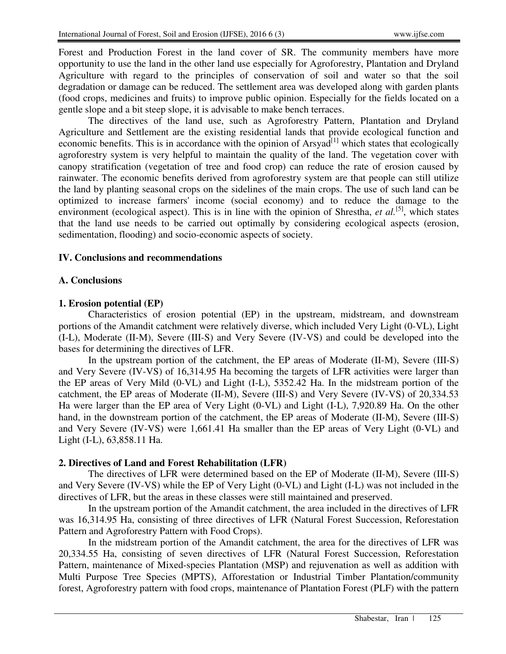Forest and Production Forest in the land cover of SR. The community members have more opportunity to use the land in the other land use especially for Agroforestry, Plantation and Dryland Agriculture with regard to the principles of conservation of soil and water so that the soil degradation or damage can be reduced. The settlement area was developed along with garden plants (food crops, medicines and fruits) to improve public opinion. Especially for the fields located on a gentle slope and a bit steep slope, it is advisable to make bench terraces.

The directives of the land use, such as Agroforestry Pattern, Plantation and Dryland Agriculture and Settlement are the existing residential lands that provide ecological function and economic benefits. This is in accordance with the opinion of Arsyad<sup>[1]</sup> which states that ecologically agroforestry system is very helpful to maintain the quality of the land. The vegetation cover with canopy stratification (vegetation of tree and food crop) can reduce the rate of erosion caused by rainwater. The economic benefits derived from agroforestry system are that people can still utilize the land by planting seasonal crops on the sidelines of the main crops. The use of such land can be optimized to increase farmers' income (social economy) and to reduce the damage to the environment (ecological aspect). This is in line with the opinion of Shrestha, *et al.*<sup>[5]</sup>, which states that the land use needs to be carried out optimally by considering ecological aspects (erosion, sedimentation, flooding) and socio-economic aspects of society.

## **IV. Conclusions and recommendations**

## **A. Conclusions**

## **1. Erosion potential (EP)**

Characteristics of erosion potential (EP) in the upstream, midstream, and downstream portions of the Amandit catchment were relatively diverse, which included Very Light (0-VL), Light (I-L), Moderate (II-M), Severe (III-S) and Very Severe (IV-VS) and could be developed into the bases for determining the directives of LFR.

In the upstream portion of the catchment, the EP areas of Moderate (II-M), Severe (III-S) and Very Severe (IV-VS) of 16,314.95 Ha becoming the targets of LFR activities were larger than the EP areas of Very Mild (0-VL) and Light (I-L), 5352.42 Ha. In the midstream portion of the catchment, the EP areas of Moderate (II-M), Severe (III-S) and Very Severe (IV-VS) of 20,334.53 Ha were larger than the EP area of Very Light (0-VL) and Light (I-L), 7,920.89 Ha. On the other hand, in the downstream portion of the catchment, the EP areas of Moderate (II-M), Severe (III-S) and Very Severe (IV-VS) were 1,661.41 Ha smaller than the EP areas of Very Light (0-VL) and Light (I-L), 63,858.11 Ha.

## **2. Directives of Land and Forest Rehabilitation (LFR)**

The directives of LFR were determined based on the EP of Moderate (II-M), Severe (III-S) and Very Severe (IV-VS) while the EP of Very Light (0-VL) and Light (I-L) was not included in the directives of LFR, but the areas in these classes were still maintained and preserved.

In the upstream portion of the Amandit catchment, the area included in the directives of LFR was 16,314.95 Ha, consisting of three directives of LFR (Natural Forest Succession, Reforestation Pattern and Agroforestry Pattern with Food Crops).

In the midstream portion of the Amandit catchment, the area for the directives of LFR was 20,334.55 Ha, consisting of seven directives of LFR (Natural Forest Succession, Reforestation Pattern, maintenance of Mixed-species Plantation (MSP) and rejuvenation as well as addition with Multi Purpose Tree Species (MPTS), Afforestation or Industrial Timber Plantation/community forest, Agroforestry pattern with food crops, maintenance of Plantation Forest (PLF) with the pattern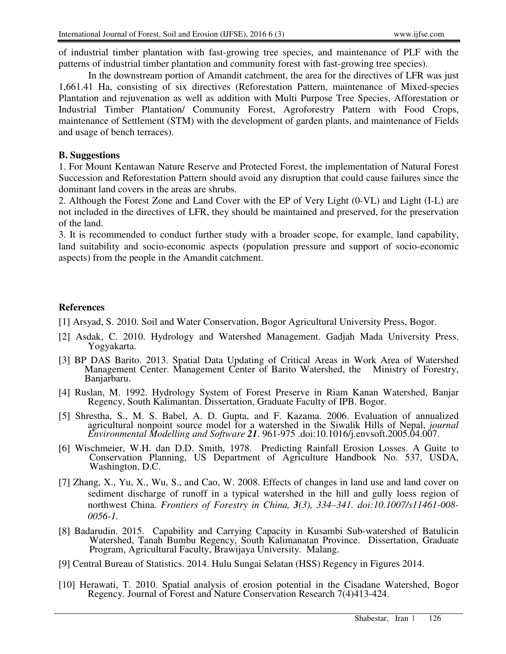of industrial timber plantation with fast-growing tree species, and maintenance of PLF with the patterns of industrial timber plantation and community forest with fast-growing tree species).

In the downstream portion of Amandit catchment, the area for the directives of LFR was just 1,661.41 Ha, consisting of six directives (Reforestation Pattern, maintenance of Mixed-species Plantation and rejuvenation as well as addition with Multi Purpose Tree Species, Afforestation or Industrial Timber Plantation/ Community Forest, Agroforestry Pattern with Food Crops, maintenance of Settlement (STM) with the development of garden plants, and maintenance of Fields and usage of bench terraces).

#### **B. Suggestions**

1. For Mount Kentawan Nature Reserve and Protected Forest, the implementation of Natural Forest Succession and Reforestation Pattern should avoid any disruption that could cause failures since the dominant land covers in the areas are shrubs.

2. Although the Forest Zone and Land Cover with the EP of Very Light (0-VL) and Light (I-L) are not included in the directives of LFR, they should be maintained and preserved, for the preservation of the land.

3. It is recommended to conduct further study with a broader scope, for example, land capability, land suitability and socio-economic aspects (population pressure and support of socio-economic aspects) from the people in the Amandit catchment.

#### **References**

- [1] Arsyad, S. 2010. Soil and Water Conservation, Bogor Agricultural University Press, Bogor.
- [2] Asdak, C. 2010. Hydrology and Watershed Management. Gadjah Mada University Press. Yogyakarta.
- [3] BP DAS Barito. 2013. Spatial Data Updating of Critical Areas in Work Area of Watershed Management Center. Management Center of Barito Watershed, the Ministry of Forestry, Banjarbaru.
- [4] Ruslan, M. 1992. Hydrology System of Forest Preserve in Riam Kanan Watershed, Banjar Regency, South Kalimantan. Dissertation, Graduate Faculty of IPB. Bogor.
- [5] Shrestha, S., M. S. Babel, A. D. Gupta, and F. Kazama. 2006. Evaluation of annualized agricultural nonpoint source model for a watershed in the Siwalik Hills of Nepal, *journal Environmental Modelling and Software 21*. 961-975 .doi:10.1016/j.envsoft.2005.04.007.
- [6] Wischmeier, W.H. dan D.D. Smith, 1978. Predicting Rainfall Erosion Losses. A Guite to Conservation Planning, US Department of Agriculture Handbook No. 537, USDA, Washington, D.C.
- [7] Zhang, X., Yu, X., Wu, S., and Cao, W. 2008. Effects of changes in land use and land cover on sediment discharge of runoff in a typical watershed in the hill and gully loess region of northwest China. *Frontiers of Forestry in China, 3(3), 334–341. doi:10.1007/s11461-008- 0056-1.*
- [8] Badarudin. 2015. Capability and Carrying Capacity in Kusambi Sub-watershed of Batulicin Watershed, Tanah Bumbu Regency, South Kalimanatan Province. Dissertation, Graduate Program, Agricultural Faculty, Brawijaya University. Malang.
- [9] Central Bureau of Statistics. 2014. Hulu Sungai Selatan (HSS) Regency in Figures 2014.
- [10] Herawati, T. 2010. Spatial analysis of erosion potential in the Cisadane Watershed, Bogor Regency. Journal of Forest and Nature Conservation Research 7(4)413-424.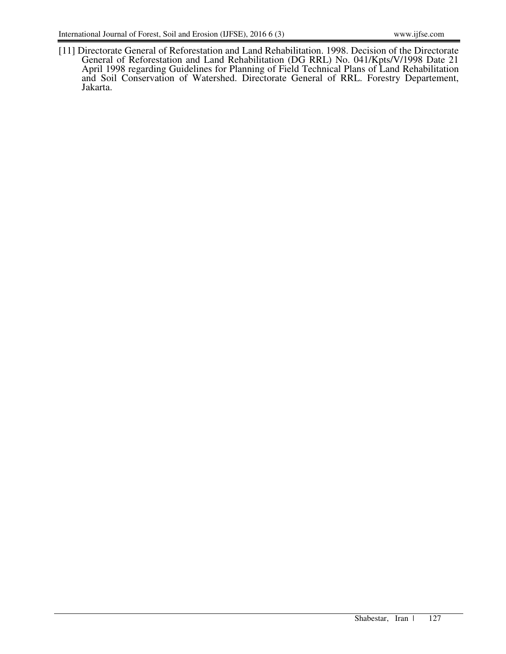[11] Directorate General of Reforestation and Land Rehabilitation. 1998. Decision of the Directorate General of Reforestation and Land Rehabilitation (DG RRL) No. 041/Kpts/V/1998 Date 21 April 1998 regarding Guidelines for Planning of Field Technical Plans of Land Rehabilitation and Soil Conservation of Watershed. Directorate General of RRL. Forestry Departement, Jakarta.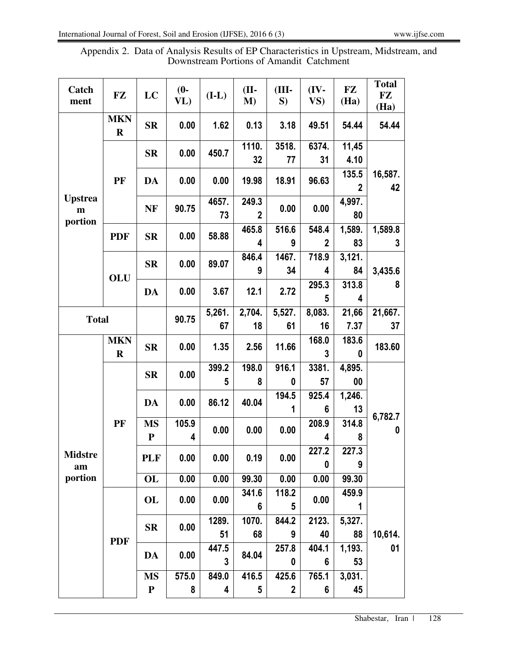| Appendix 2. Data of Analysis Results of EP Characteristics in Upstream, Midstream, and |
|----------------------------------------------------------------------------------------|
| Downstream Portions of Amandit Catchment                                               |

| Catch<br>ment                   | FZ                        | LC                       | $(0-$<br>VL) | $(L-L)$     | $(II-$<br>M)                     | (III-<br>S)               | $(IV -$<br>VS)        | FZ<br>(Ha)            | <b>Total</b><br>FZ<br>(Ha) |
|---------------------------------|---------------------------|--------------------------|--------------|-------------|----------------------------------|---------------------------|-----------------------|-----------------------|----------------------------|
| <b>Upstrea</b><br>m<br>portion  | <b>MKN</b><br>$\mathbf R$ | <b>SR</b>                | 0.00         | 1.62        | 0.13                             | 3.18                      | 49.51                 | 54.44                 | 54.44                      |
|                                 | PF                        | <b>SR</b>                | 0.00         | 450.7       | 1110.<br>32                      | 3518.<br>77               | 6374.<br>31           | 11,45<br>4.10         |                            |
|                                 |                           | DA                       | 0.00         | 0.00        | 19.98                            | 18.91                     | 96.63                 | 135.5<br>$\mathbf{2}$ | 16,587.<br>42              |
|                                 |                           | <b>NF</b>                | 90.75        | 4657.<br>73 | 249.3<br>$\mathbf{2}$            | 0.00                      | 0.00                  | 4,997.<br>80          |                            |
|                                 | <b>PDF</b>                | <b>SR</b>                | 0.00         | 58.88       | 465.8<br>4                       | 516.6<br>9                | 548.4<br>$\mathbf{2}$ | 1,589.<br>83          | 1,589.8<br>3               |
|                                 | OLU                       | $S_{\rm R}$              | 0.00         | 89.07       | 846.4<br>9                       | 1467.<br>34               | 718.9<br>4            | 3,121.<br>84          | 3,435.6                    |
|                                 |                           | <b>DA</b>                | 0.00         | 3.67        | 12.1                             | 2.72                      | 295.3<br>5            | 313.8<br>4            | 8                          |
| <b>Total</b>                    |                           |                          | 90.75        | 5,261.      | 2,704.                           | 5,527.                    | 8,083.                | 21,66                 | 21,667.                    |
|                                 |                           |                          |              | 67          | 18                               | 61                        | 16                    | 7.37                  | 37                         |
| <b>Midstre</b><br>am<br>portion | <b>MKN</b><br>$\bf R$     | <b>SR</b>                | 0.00         | 1.35        | 2.56                             | 11.66                     | 168.0<br>3            | 183.6<br>0            | 183.60                     |
|                                 | PF                        | <b>SR</b>                | 0.00         | 399.2<br>5  | 198.0<br>8                       | 916.1<br>0                | 3381.<br>57           | 4,895.<br>00          |                            |
|                                 |                           | DA                       | 0.00         | 86.12       | 40.04                            | 194.5<br>1                | 925.4<br>6            | 1,246.<br>13          |                            |
|                                 |                           | <b>MS</b><br>${\bf P}$   | 105.9<br>4   | 0.00        | 0.00                             | 0.00                      | 208.9<br>4            | 314.8<br>8            | 6,782.7<br>0               |
|                                 |                           | <b>PLF</b>               | 0.00         | 0.00        | 0.19                             | 0.00                      | 227.2<br>0            | 227.3<br>9            |                            |
|                                 |                           | OL                       | 0.00         | 0.00        | 99.30                            | 0.00                      | 0.00                  | 99.30                 |                            |
|                                 | <b>PDF</b>                | OL                       | 0.00         | 0.00        | 341.6<br>6                       | 118.2<br>5                | 0.00                  | 459.9<br>1            |                            |
|                                 |                           | <b>SR</b>                | 0.00         | 1289.<br>51 | 1070.<br>68                      | 844.2<br>9                | 2123.<br>40           | 5,327.<br>88          | 10,614.                    |
|                                 |                           | <b>DA</b>                | 0.00         | 447.5<br>3  | 84.04                            | 257.8<br>0                | 404.1<br>6            | 1,193.<br>53          | 01                         |
|                                 |                           | <b>MS</b><br>$\mathbf P$ | 575.0<br>8   | 849.0<br>4  | 416.5<br>$\overline{\mathbf{5}}$ | 425.6<br>$\boldsymbol{2}$ | 765.1<br>6            | 3,031.<br>45          |                            |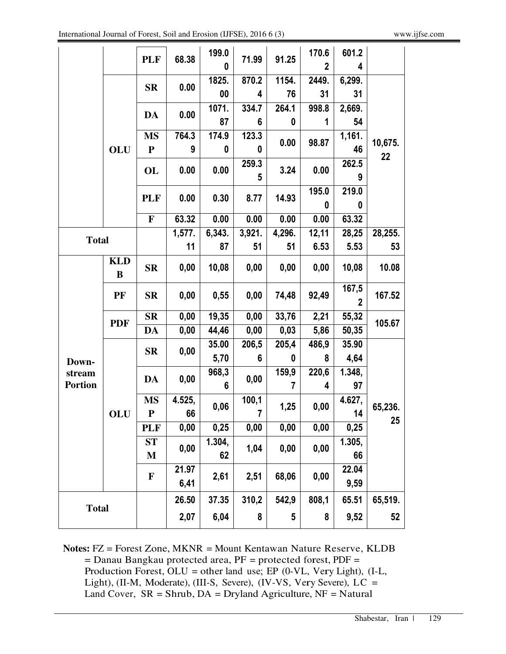|                          |                 | <b>PLF</b>       | 68.38         | 199.0        | 71.99      | 91.25    | 170.6 | 601.2                   |               |
|--------------------------|-----------------|------------------|---------------|--------------|------------|----------|-------|-------------------------|---------------|
|                          |                 |                  |               | 0            |            |          | 2     | 4                       |               |
|                          | OLU             | $S_{\rm R}$      | 0.00          | 1825.        | 870.2      | 1154.    | 2449. | 6,299.                  |               |
|                          |                 |                  |               | 00           | 4          | 76       | 31    | 31                      |               |
|                          |                 | DA               | 0.00          | 1071.        | 334.7      | 264.1    | 998.8 | 2,669.                  |               |
|                          |                 |                  |               | 87           | 6          | $\bf{0}$ | 1     | 54                      |               |
|                          |                 | <b>MS</b>        | 764.3         | 174.9<br>0   | 123.3      | 0.00     | 98.87 | 1,161.                  | 10,675.<br>22 |
|                          |                 | ${\bf P}$        | 9             |              | 0          |          |       | 46                      |               |
|                          |                 | OL               | 0.00          | 0.00         | 259.3<br>5 | 3.24     | 0.00  | 262.5<br>9              |               |
|                          |                 | <b>PLF</b>       | 0.00          | 0.30         | 8.77       | 14.93    | 195.0 | 219.0                   |               |
|                          |                 |                  |               |              |            |          | 0     | 0                       |               |
|                          |                 | $\mathbf F$      | 63.32         | 0.00         | 0.00       | 0.00     | 0.00  | 63.32                   |               |
| <b>Total</b>             |                 |                  | 1,577.        | 6,343.       | 3,921.     | 4,296.   | 12,11 | 28,25                   | 28,255.       |
|                          |                 |                  | 11            | 87           | 51         | 51       | 6.53  | 5.53                    | 53            |
|                          | <b>KLD</b><br>B | $S_{\mathbf{R}}$ | 0,00          | 10,08        | 0,00       | 0,00     | 0,00  | 10,08                   | 10.08         |
|                          | PF              | $S_{\rm R}$      | 0,00          | 0,55         | 0,00       | 74,48    | 92,49 | 167,5<br>$\overline{2}$ | 167.52        |
|                          |                 | <b>SR</b>        | 0,00          | 19,35        | 0,00       | 33,76    | 2,21  | 55,32                   |               |
|                          | <b>PDF</b>      | DA               | 0,00          | 44,46        | 0,00       | 0,03     | 5,86  | 50,35                   | 105.67        |
|                          | OLU             | <b>SR</b>        | 0,00          | 35.00        | 206,5      | 205,4    | 486,9 | 35.90                   |               |
| Down-                    |                 |                  |               | 5,70         | 6          | 0        | 8     | 4,64                    |               |
| stream<br><b>Portion</b> |                 | <b>DA</b>        | 0,00          | 968,3<br>6   | 0,00       | 159,9    | 220,6 | 1.348,                  |               |
|                          |                 |                  |               |              |            |          | 4     | 97                      |               |
|                          |                 | <b>MS</b>        | 4.525,<br>66  | 0,06         | 100,1<br>7 | 1,25     | 0,00  | 4.627,                  | 65,236.<br>25 |
|                          |                 | ${\bf P}$        |               |              |            |          |       | 14                      |               |
|                          |                 | <b>PLF</b>       | 0,00          | 0,25         | 0,00       | 0,00     | 0,00  | 0,25                    |               |
|                          |                 | ST               | 0,00          | 1.304,<br>62 | 1,04       | 0,00     | 0,00  | 1.305,                  |               |
|                          |                 | M                |               |              |            |          |       | 66                      |               |
|                          |                 | F                | 21.97<br>6,41 | 2,61         | 2,51       | 68,06    | 0,00  | 22.04                   |               |
|                          |                 |                  |               |              |            |          |       | 9,59                    |               |
| <b>Total</b>             |                 |                  | 26.50         | 37.35        | 310,2      | 542,9    | 808,1 | 65.51                   | 65,519.       |
|                          |                 |                  | 2,07          | 6,04         | 8          | 5        | 8     | 9,52                    | 52            |

**Notes:** FZ = Forest Zone, MKNR = Mount Kentawan Nature Reserve, KLDB = Danau Bangkau protected area, PF = protected forest, PDF = Production Forest, OLU = other land use; EP (0-VL, Very Light), (I-L, Light), (II-M, Moderate), (III-S, Severe), (IV-VS, Very Severe), LC = Land Cover,  $SR = Shrub$ ,  $DA = Dryland Agriculture$ ,  $NF = Natural$